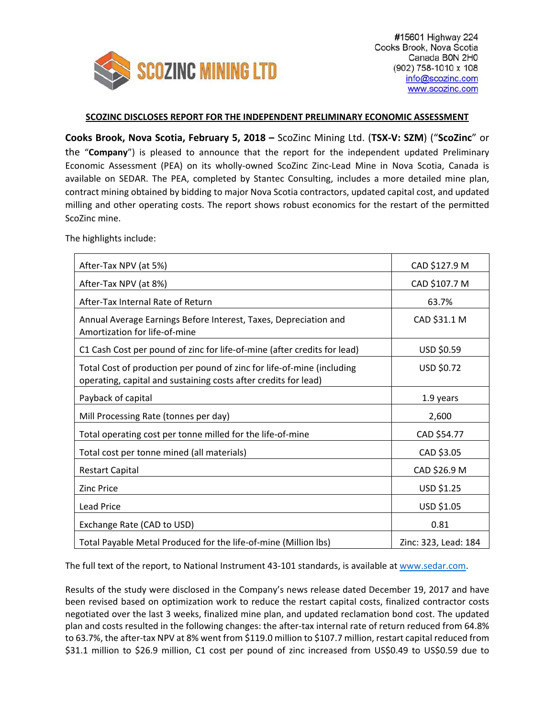

## **SCOZINC DISCLOSES REPORT FOR THE INDEPENDENT PRELIMINARY ECONOMIC ASSESSMENT**

**Cooks Brook, Nova Scotia, February 5, 2018 –** ScoZinc Mining Ltd. (**TSX‐V: SZM**) ("**ScoZinc**" or the "**Company**") is pleased to announce that the report for the independent updated Preliminary Economic Assessment (PEA) on its wholly‐owned ScoZinc Zinc‐Lead Mine in Nova Scotia, Canada is available on SEDAR. The PEA, completed by Stantec Consulting, includes a more detailed mine plan, contract mining obtained by bidding to major Nova Scotia contractors, updated capital cost, and updated milling and other operating costs. The report shows robust economics for the restart of the permitted ScoZinc mine.

The highlights include:

| After-Tax NPV (at 5%)                                                                                                                     | CAD \$127.9 M        |  |  |
|-------------------------------------------------------------------------------------------------------------------------------------------|----------------------|--|--|
| After-Tax NPV (at 8%)                                                                                                                     | CAD \$107.7 M        |  |  |
| After-Tax Internal Rate of Return                                                                                                         | 63.7%                |  |  |
| Annual Average Earnings Before Interest, Taxes, Depreciation and<br>Amortization for life-of-mine                                         | CAD \$31.1 M         |  |  |
| C1 Cash Cost per pound of zinc for life-of-mine (after credits for lead)                                                                  | USD \$0.59           |  |  |
| Total Cost of production per pound of zinc for life-of-mine (including<br>operating, capital and sustaining costs after credits for lead) | USD \$0.72           |  |  |
| Payback of capital                                                                                                                        | 1.9 years            |  |  |
| Mill Processing Rate (tonnes per day)                                                                                                     | 2,600                |  |  |
| Total operating cost per tonne milled for the life-of-mine                                                                                | CAD \$54.77          |  |  |
| Total cost per tonne mined (all materials)                                                                                                | CAD \$3.05           |  |  |
| <b>Restart Capital</b>                                                                                                                    | CAD \$26.9 M         |  |  |
| <b>Zinc Price</b>                                                                                                                         | USD \$1.25           |  |  |
| <b>Lead Price</b>                                                                                                                         | USD \$1.05           |  |  |
| Exchange Rate (CAD to USD)                                                                                                                | 0.81                 |  |  |
| Total Payable Metal Produced for the life-of-mine (Million lbs)                                                                           | Zinc: 323, Lead: 184 |  |  |

The full text of the report, to National Instrument 43-101 standards, is available at www.sedar.com.

Results of the study were disclosed in the Company's news release dated December 19, 2017 and have been revised based on optimization work to reduce the restart capital costs, finalized contractor costs negotiated over the last 3 weeks, finalized mine plan, and updated reclamation bond cost. The updated plan and costs resulted in the following changes: the after‐tax internal rate of return reduced from 64.8% to 63.7%, the after-tax NPV at 8% went from \$119.0 million to \$107.7 million, restart capital reduced from \$31.1 million to \$26.9 million, C1 cost per pound of zinc increased from US\$0.49 to US\$0.59 due to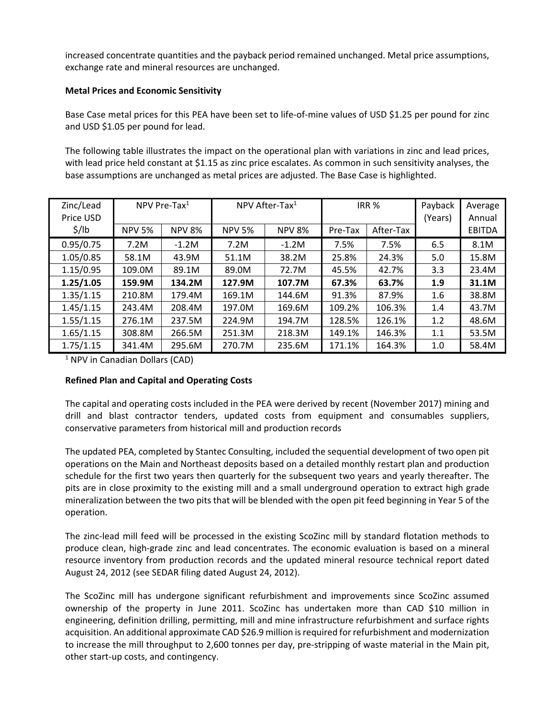increased concentrate quantities and the payback period remained unchanged. Metal price assumptions, exchange rate and mineral resources are unchanged.

## **Metal Prices and Economic Sensitivity**

Base Case metal prices for this PEA have been set to life-of-mine values of USD \$1.25 per pound for zinc and USD \$1.05 per pound for lead.

The following table illustrates the impact on the operational plan with variations in zinc and lead prices, with lead price held constant at \$1.15 as zinc price escalates. As common in such sensitivity analyses, the base assumptions are unchanged as metal prices are adjusted. The Base Case is highlighted.

| Zinc/Lead<br>Price USD | NPV Pre-Tax $1$ |               | NPV After-Tax <sup>1</sup> |               | IRR <sub>%</sub> |           | Payback<br>(Years) | Average<br>Annual |
|------------------------|-----------------|---------------|----------------------------|---------------|------------------|-----------|--------------------|-------------------|
| $\frac{1}{2}$ /lb      | <b>NPV 5%</b>   | <b>NPV 8%</b> | <b>NPV 5%</b>              | <b>NPV 8%</b> | Pre-Tax          | After-Tax |                    | <b>EBITDA</b>     |
| 0.95/0.75              | 7.2M            | $-1.2M$       | 7.2M                       | $-1.2M$       | 7.5%             | 7.5%      | 6.5                | 8.1M              |
| 1.05/0.85              | 58.1M           | 43.9M         | 51.1M                      | 38.2M         | 25.8%            | 24.3%     | 5.0                | 15.8M             |
| 1.15/0.95              | 109.0M          | 89.1M         | 89.0M                      | 72.7M         | 45.5%            | 42.7%     | 3.3                | 23.4M             |
| 1.25/1.05              | 159.9M          | 134.2M        | 127.9M                     | 107.7M        | 67.3%            | 63.7%     | 1.9                | 31.1M             |
| 1.35/1.15              | 210.8M          | 179.4M        | 169.1M                     | 144.6M        | 91.3%            | 87.9%     | 1.6                | 38.8M             |
| 1.45/1.15              | 243.4M          | 208.4M        | 197.0M                     | 169.6M        | 109.2%           | 106.3%    | 1.4                | 43.7M             |
| 1.55/1.15              | 276.1M          | 237.5M        | 224.9M                     | 194.7M        | 128.5%           | 126.1%    | 1.2                | 48.6M             |
| 1.65/1.15              | 308.8M          | 266.5M        | 251.3M                     | 218.3M        | 149.1%           | 146.3%    | 1.1                | 53.5M             |
| 1.75/1.15              | 341.4M          | 295.6M        | 270.7M                     | 235.6M        | 171.1%           | 164.3%    | 1.0                | 58.4M             |

 $<sup>1</sup>$  NPV in Canadian Dollars (CAD)</sup>

## **Refined Plan and Capital and Operating Costs**

The capital and operating costs included in the PEA were derived by recent (November 2017) mining and drill and blast contractor tenders, updated costs from equipment and consumables suppliers, conservative parameters from historical mill and production records

The updated PEA, completed by Stantec Consulting, included the sequential development of two open pit operations on the Main and Northeast deposits based on a detailed monthly restart plan and production schedule for the first two years then quarterly for the subsequent two years and yearly thereafter. The pits are in close proximity to the existing mill and a small underground operation to extract high grade mineralization between the two pits that will be blended with the open pit feed beginning in Year 5 of the operation.

The zinc‐lead mill feed will be processed in the existing ScoZinc mill by standard flotation methods to produce clean, high‐grade zinc and lead concentrates. The economic evaluation is based on a mineral resource inventory from production records and the updated mineral resource technical report dated August 24, 2012 (see SEDAR filing dated August 24, 2012).

The ScoZinc mill has undergone significant refurbishment and improvements since ScoZinc assumed ownership of the property in June 2011. ScoZinc has undertaken more than CAD \$10 million in engineering, definition drilling, permitting, mill and mine infrastructure refurbishment and surface rights acquisition. An additional approximate CAD \$26.9 million isrequired for refurbishment and modernization to increase the mill throughput to 2,600 tonnes per day, pre‐stripping of waste material in the Main pit, other start‐up costs, and contingency.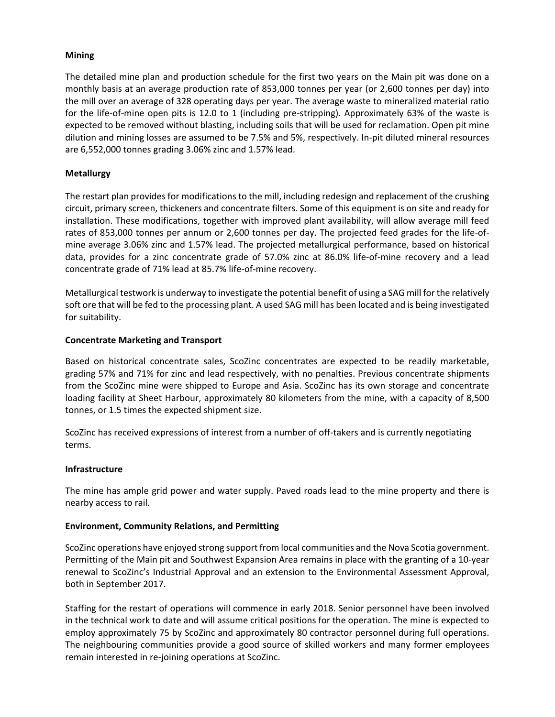# **Mining**

The detailed mine plan and production schedule for the first two years on the Main pit was done on a monthly basis at an average production rate of 853,000 tonnes per year (or 2,600 tonnes per day) into the mill over an average of 328 operating days per year. The average waste to mineralized material ratio for the life-of-mine open pits is 12.0 to 1 (including pre-stripping). Approximately 63% of the waste is expected to be removed without blasting, including soils that will be used for reclamation. Open pit mine dilution and mining losses are assumed to be 7.5% and 5%, respectively. In‐pit diluted mineral resources are 6,552,000 tonnes grading 3.06% zinc and 1.57% lead.

# **Metallurgy**

The restart plan provides for modifications to the mill, including redesign and replacement of the crushing circuit, primary screen, thickeners and concentrate filters. Some of this equipment is on site and ready for installation. These modifications, together with improved plant availability, will allow average mill feed rates of 853,000 tonnes per annum or 2,600 tonnes per day. The projected feed grades for the life-ofmine average 3.06% zinc and 1.57% lead. The projected metallurgical performance, based on historical data, provides for a zinc concentrate grade of 57.0% zinc at 86.0% life‐of‐mine recovery and a lead concentrate grade of 71% lead at 85.7% life‐of‐mine recovery.

Metallurgical testwork is underway to investigate the potential benefit of using a SAG mill forthe relatively soft ore that will be fed to the processing plant. A used SAG mill has been located and is being investigated for suitability.

## **Concentrate Marketing and Transport**

Based on historical concentrate sales, ScoZinc concentrates are expected to be readily marketable, grading 57% and 71% for zinc and lead respectively, with no penalties. Previous concentrate shipments from the ScoZinc mine were shipped to Europe and Asia. ScoZinc has its own storage and concentrate loading facility at Sheet Harbour, approximately 80 kilometers from the mine, with a capacity of 8,500 tonnes, or 1.5 times the expected shipment size.

ScoZinc has received expressions of interest from a number of off‐takers and is currently negotiating terms.

## **Infrastructure**

The mine has ample grid power and water supply. Paved roads lead to the mine property and there is nearby access to rail.

## **Environment, Community Relations, and Permitting**

ScoZinc operations have enjoyed strong support from local communities and the Nova Scotia government. Permitting of the Main pit and Southwest Expansion Area remains in place with the granting of a 10‐year renewal to ScoZinc's Industrial Approval and an extension to the Environmental Assessment Approval, both in September 2017.

Staffing for the restart of operations will commence in early 2018. Senior personnel have been involved in the technical work to date and will assume critical positions for the operation. The mine is expected to employ approximately 75 by ScoZinc and approximately 80 contractor personnel during full operations. The neighbouring communities provide a good source of skilled workers and many former employees remain interested in re‐joining operations at ScoZinc.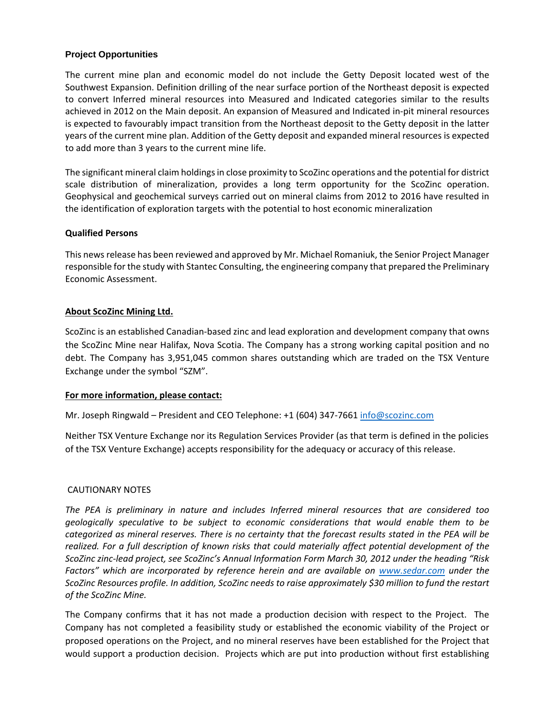#### **Project Opportunities**

The current mine plan and economic model do not include the Getty Deposit located west of the Southwest Expansion. Definition drilling of the near surface portion of the Northeast deposit is expected to convert Inferred mineral resources into Measured and Indicated categories similar to the results achieved in 2012 on the Main deposit. An expansion of Measured and Indicated in‐pit mineral resources is expected to favourably impact transition from the Northeast deposit to the Getty deposit in the latter years of the current mine plan. Addition of the Getty deposit and expanded mineral resources is expected to add more than 3 years to the current mine life.

The significant mineral claim holdings in close proximity to ScoZinc operations and the potential for district scale distribution of mineralization, provides a long term opportunity for the ScoZinc operation. Geophysical and geochemical surveys carried out on mineral claims from 2012 to 2016 have resulted in the identification of exploration targets with the potential to host economic mineralization

#### **Qualified Persons**

This newsrelease has been reviewed and approved by Mr. Michael Romaniuk, the Senior Project Manager responsible for the study with Stantec Consulting, the engineering company that prepared the Preliminary Economic Assessment.

## **About ScoZinc Mining Ltd.**

ScoZinc is an established Canadian‐based zinc and lead exploration and development company that owns the ScoZinc Mine near Halifax, Nova Scotia. The Company has a strong working capital position and no debt. The Company has 3,951,045 common shares outstanding which are traded on the TSX Venture Exchange under the symbol "SZM".

#### **For more information, please contact:**

Mr. Joseph Ringwald – President and CEO Telephone: +1 (604) 347‐7661 info@scozinc.com

Neither TSX Venture Exchange nor its Regulation Services Provider (as that term is defined in the policies of the TSX Venture Exchange) accepts responsibility for the adequacy or accuracy of this release.

## CAUTIONARY NOTES

*The PEA is preliminary in nature and includes Inferred mineral resources that are considered too geologically speculative to be subject to economic considerations that would enable them to be* categorized as mineral reserves. There is no certainty that the forecast results stated in the PEA will be *realized. For a full description of known risks that could materially affect potential development of the ScoZinc zinc‐lead project, see ScoZinc's Annual Information Form March 30, 2012 under the heading "Risk Factors" which are incorporated by reference herein and are available on www.sedar.com under the ScoZinc Resources profile. In addition, ScoZinc needs to raise approximately \$30 million to fund the restart of the ScoZinc Mine.*

The Company confirms that it has not made a production decision with respect to the Project. The Company has not completed a feasibility study or established the economic viability of the Project or proposed operations on the Project, and no mineral reserves have been established for the Project that would support a production decision. Projects which are put into production without first establishing